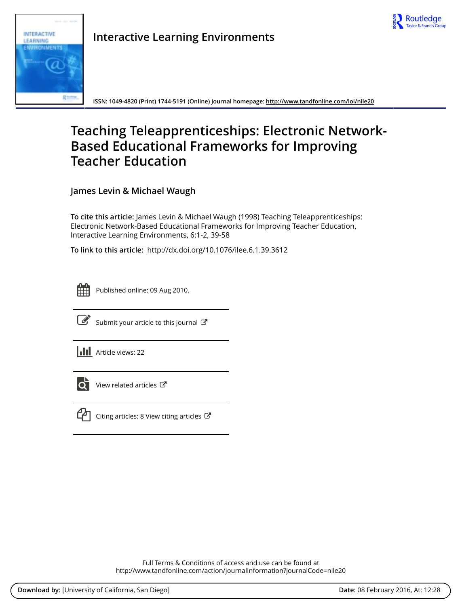

| <b>INTERACTIVE</b><br><b>LEARNING</b> |
|---------------------------------------|
| <b>ENVIRONMENTS</b>                   |
|                                       |

**Interactive Learning Environments**

**ISSN: 1049-4820 (Print) 1744-5191 (Online) Journal homepage:<http://www.tandfonline.com/loi/nile20>**

# **Teaching Teleapprenticeships: Electronic Network-Based Educational Frameworks for Improving Teacher Education**

**James Levin & Michael Waugh**

**To cite this article:** James Levin & Michael Waugh (1998) Teaching Teleapprenticeships: Electronic Network-Based Educational Frameworks for Improving Teacher Education, Interactive Learning Environments, 6:1-2, 39-58

**To link to this article:** <http://dx.doi.org/10.1076/ilee.6.1.39.3612>



Published online: 09 Aug 2010.



 $\overline{\mathscr{L}}$  [Submit your article to this journal](http://www.tandfonline.com/action/authorSubmission?journalCode=nile20&page=instructions)  $\mathbb{F}$ 





[View related articles](http://www.tandfonline.com/doi/mlt/10.1076/ilee.6.1.39.3612)  $\mathbb{Z}$ 



[Citing articles: 8 View citing articles](http://www.tandfonline.com/doi/citedby/10.1076/ilee.6.1.39.3612#tabModule)  $\mathbb{Z}$ 

Full Terms & Conditions of access and use can be found at <http://www.tandfonline.com/action/journalInformation?journalCode=nile20>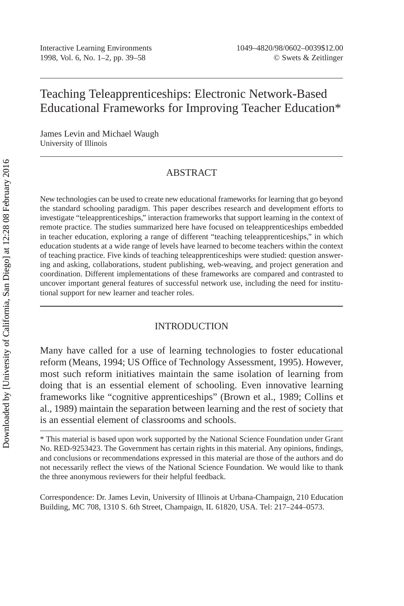# Teaching Teleapprenticeships: Electronic Network-Based Educational Frameworks for Improving Teacher Education\*

James Levin and Michael Waugh University of Illinois

# ABSTRACT

New technologies can be used to create new educational frameworks for learning that go beyond the standard schooling paradigm. This paper describes research and development efforts to investigate "teleapprenticeships," interaction frameworks that support learning in the context of remote practice. The studies summarized here have focused on teleapprenticeships embedded in teacher education, exploring a range of different "teaching teleapprenticeships," in which education students at a wide range of levels have learned to become teachers within the context of teaching practice. Five kinds of teaching teleapprenticeships were studied: question answering and asking, collaborations, student publishing, web-weaving, and project generation and coordination. Different implementations of these frameworks are compared and contrasted to uncover important general features of successful network use, including the need for institutional support for new learner and teacher roles.

# INTRODUCTION

Many have called for a use of learning technologies to foster educational reform (Means, 1994; US Office of Technology Assessment, 1995). However, most such reform initiatives maintain the same isolation of learning from doing that is an essential element of schooling. Even innovative learning frameworks like "cognitive apprenticeships" (Brown et al., 1989; Collins et al., 1989) maintain the separation between learning and the rest of society that is an essential element of classrooms and schools.

Correspondence: Dr. James Levin, University of Illinois at Urbana-Champaign, 210 Education Building, MC 708, 1310 S. 6th Street, Champaign, IL 61820, USA. Tel: 217–244–0573.

<sup>\*</sup> This material is based upon work supported by the National Science Foundation under Grant No. RED-9253423. The Government has certain rights in this material. Any opinions, findings, and conclusions or recommendations expressed in this material are those of the authors and do not necessarily reflect the views of the National Science Foundation. We would like to thank the three anonymous reviewers for their helpful feedback.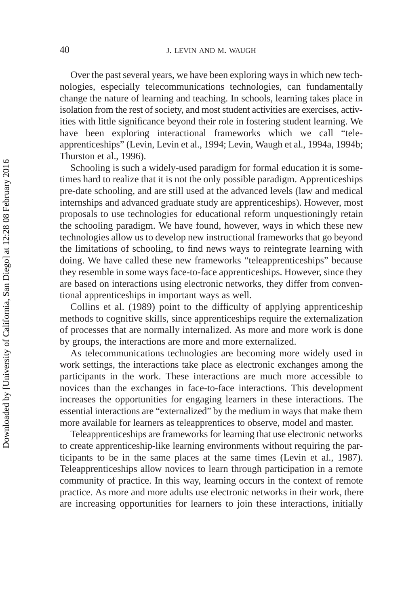Over the past several years, we have been exploring ways in which new technologies, especially telecommunications technologies, can fundamentally change the nature of learning and teaching. In schools, learning takes place in isolation from the rest of society, and most student activities are exercises, activities with little significance beyond their role in fostering student learning. We have been exploring interactional frameworks which we call "teleapprenticeships" (Levin, Levin et al., 1994; Levin, Waugh et al., 1994a, 1994b; Thurston et al., 1996).

Schooling is such a widely-used paradigm for formal education it is sometimes hard to realize that it is not the only possible paradigm. Apprenticeships pre-date schooling, and are still used at the advanced levels (law and medical internships and advanced graduate study are apprenticeships). However, most proposals to use technologies for educational reform unquestioningly retain the schooling paradigm. We have found, however, ways in which these new technologies allow us to develop new instructional frameworks that go beyond the limitations of schooling, to find news ways to reintegrate learning with doing. We have called these new frameworks "teleapprenticeships" because they resemble in some ways face-to-face apprenticeships. However, since they are based on interactions using electronic networks, they differ from conventional apprenticeships in important ways as well.

Collins et al. (1989) point to the difficulty of applying apprenticeship methods to cognitive skills, since apprenticeships require the externalization of processes that are normally internalized. As more and more work is done by groups, the interactions are more and more externalized.

As telecommunications technologies are becoming more widely used in work settings, the interactions take place as electronic exchanges among the participants in the work. These interactions are much more accessible to novices than the exchanges in face-to-face interactions. This development increases the opportunities for engaging learners in these interactions. The essential interactions are "externalized" by the medium in ways that make them more available for learners as teleapprentices to observe, model and master.

Teleapprenticeships are frameworks for learning that use electronic networks to create apprenticeship-like learning environments without requiring the participants to be in the same places at the same times (Levin et al., 1987). Teleapprenticeships allow novices to learn through participation in a remote community of practice. In this way, learning occurs in the context of remote practice. As more and more adults use electronic networks in their work, there are increasing opportunities for learners to join these interactions, initially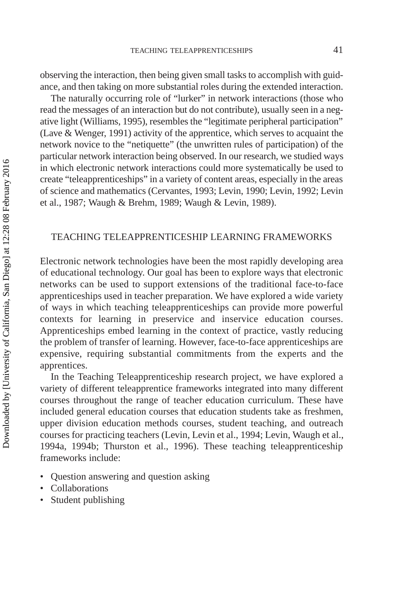observing the interaction, then being given small tasks to accomplish with guidance, and then taking on more substantial roles during the extended interaction.

The naturally occurring role of "lurker" in network interactions (those who read the messages of an interaction but do not contribute), usually seen in a negative light (Williams, 1995), resembles the "legitimate peripheral participation" (Lave & Wenger, 1991) activity of the apprentice, which serves to acquaint the network novice to the "netiquette" (the unwritten rules of participation) of the particular network interaction being observed. In our research, we studied ways in which electronic network interactions could more systematically be used to create "teleapprenticeships" in a variety of content areas, especially in the areas of science and mathematics (Cervantes, 1993; Levin, 1990; Levin, 1992; Levin et al., 1987; Waugh & Brehm, 1989; Waugh & Levin, 1989).

#### TEACHING TELEAPPRENTICESHIP LEARNING FRAMEWORKS

Electronic network technologies have been the most rapidly developing area of educational technology. Our goal has been to explore ways that electronic networks can be used to support extensions of the traditional face-to-face apprenticeships used in teacher preparation. We have explored a wide variety of ways in which teaching teleapprenticeships can provide more powerful contexts for learning in preservice and inservice education courses. Apprenticeships embed learning in the context of practice, vastly reducing the problem of transfer of learning. However, face-to-face apprenticeships are expensive, requiring substantial commitments from the experts and the apprentices.

In the Teaching Teleapprenticeship research project, we have explored a variety of different teleapprentice frameworks integrated into many different courses throughout the range of teacher education curriculum. These have included general education courses that education students take as freshmen, upper division education methods courses, student teaching, and outreach courses for practicing teachers (Levin, Levin et al., 1994; Levin, Waugh et al., 1994a, 1994b; Thurston et al., 1996). These teaching teleapprenticeship frameworks include:

- Question answering and question asking
- Collaborations
- Student publishing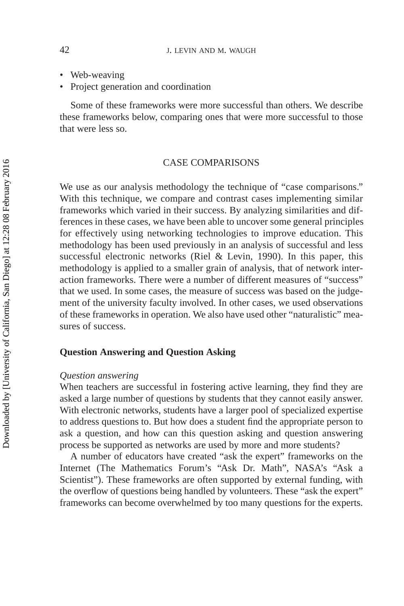- Web-weaving
- Project generation and coordination

Some of these frameworks were more successful than others. We describe these frameworks below, comparing ones that were more successful to those that were less so.

#### CASE COMPARISONS

We use as our analysis methodology the technique of "case comparisons." With this technique, we compare and contrast cases implementing similar frameworks which varied in their success. By analyzing similarities and differences in these cases, we have been able to uncover some general principles for effectively using networking technologies to improve education. This methodology has been used previously in an analysis of successful and less successful electronic networks (Riel & Levin, 1990). In this paper, this methodology is applied to a smaller grain of analysis, that of network interaction frameworks. There were a number of different measures of "success" that we used. In some cases, the measure of success was based on the judgement of the university faculty involved. In other cases, we used observations of these frameworks in operation. We also have used other "naturalistic" measures of success.

#### **Question Answering and Question Asking**

#### *Question answering*

When teachers are successful in fostering active learning, they find they are asked a large number of questions by students that they cannot easily answer. With electronic networks, students have a larger pool of specialized expertise to address questions to. But how does a student find the appropriate person to ask a question, and how can this question asking and question answering process be supported as networks are used by more and more students?

A number of educators have created "ask the expert" frameworks on the Internet (The Mathematics Forum's "Ask Dr. Math", NASA's "Ask a Scientist"). These frameworks are often supported by external funding, with the overflow of questions being handled by volunteers. These "ask the expert" frameworks can become overwhelmed by too many questions for the experts.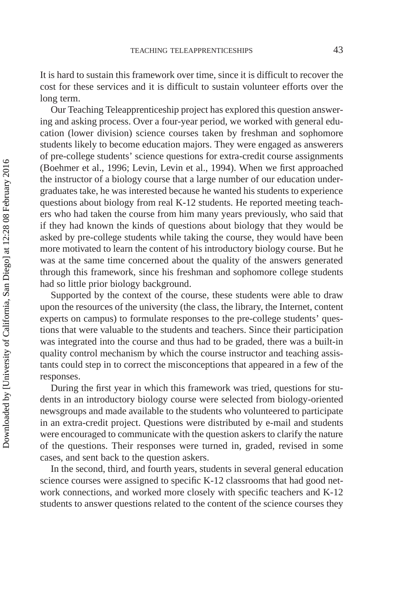It is hard to sustain this framework over time, since it is difficult to recover the cost for these services and it is difficult to sustain volunteer efforts over the long term.

Our Teaching Teleapprenticeship project has explored this question answering and asking process. Over a four-year period, we worked with general education (lower division) science courses taken by freshman and sophomore students likely to become education majors. They were engaged as answerers of pre-college students' science questions for extra-credit course assignments (Boehmer et al., 1996; Levin, Levin et al., 1994). When we first approached the instructor of a biology course that a large number of our education undergraduates take, he was interested because he wanted his students to experience questions about biology from real K-12 students. He reported meeting teachers who had taken the course from him many years previously, who said that if they had known the kinds of questions about biology that they would be asked by pre-college students while taking the course, they would have been more motivated to learn the content of his introductory biology course. But he was at the same time concerned about the quality of the answers generated through this framework, since his freshman and sophomore college students had so little prior biology background.

Supported by the context of the course, these students were able to draw upon the resources of the university (the class, the library, the Internet, content experts on campus) to formulate responses to the pre-college students' questions that were valuable to the students and teachers. Since their participation was integrated into the course and thus had to be graded, there was a built-in quality control mechanism by which the course instructor and teaching assistants could step in to correct the misconceptions that appeared in a few of the responses.

During the first year in which this framework was tried, questions for students in an introductory biology course were selected from biology-oriented newsgroups and made available to the students who volunteered to participate in an extra-credit project. Questions were distributed by e-mail and students were encouraged to communicate with the question askers to clarify the nature of the questions. Their responses were turned in, graded, revised in some cases, and sent back to the question askers.

In the second, third, and fourth years, students in several general education science courses were assigned to specific K-12 classrooms that had good network connections, and worked more closely with specific teachers and K-12 students to answer questions related to the content of the science courses they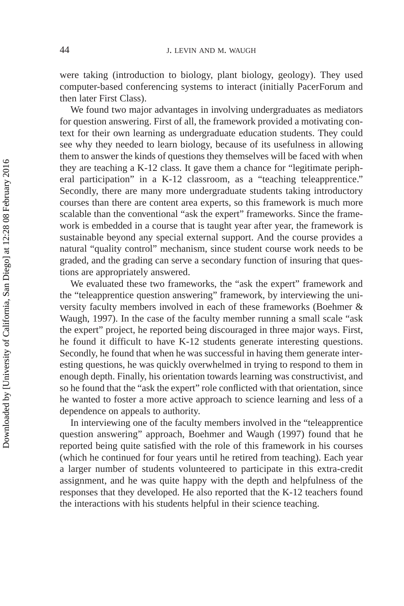were taking (introduction to biology, plant biology, geology). They used computer-based conferencing systems to interact (initially PacerForum and then later First Class).

We found two major advantages in involving undergraduates as mediators for question answering. First of all, the framework provided a motivating context for their own learning as undergraduate education students. They could see why they needed to learn biology, because of its usefulness in allowing them to answer the kinds of questions they themselves will be faced with when they are teaching a K-12 class. It gave them a chance for "legitimate peripheral participation" in a K-12 classroom, as a "teaching teleapprentice." Secondly, there are many more undergraduate students taking introductory courses than there are content area experts, so this framework is much more scalable than the conventional "ask the expert" frameworks. Since the framework is embedded in a course that is taught year after year, the framework is sustainable beyond any special external support. And the course provides a natural "quality control" mechanism, since student course work needs to be graded, and the grading can serve a secondary function of insuring that questions are appropriately answered.

We evaluated these two frameworks, the "ask the expert" framework and the "teleapprentice question answering" framework, by interviewing the university faculty members involved in each of these frameworks (Boehmer & Waugh, 1997). In the case of the faculty member running a small scale "ask the expert" project, he reported being discouraged in three major ways. First, he found it difficult to have K-12 students generate interesting questions. Secondly, he found that when he was successful in having them generate interesting questions, he was quickly overwhelmed in trying to respond to them in enough depth. Finally, his orientation towards learning was constructivist, and so he found that the "ask the expert" role conflicted with that orientation, since he wanted to foster a more active approach to science learning and less of a dependence on appeals to authority.

In interviewing one of the faculty members involved in the "teleapprentice question answering" approach, Boehmer and Waugh (1997) found that he reported being quite satisfied with the role of this framework in his courses (which he continued for four years until he retired from teaching). Each year a larger number of students volunteered to participate in this extra-credit assignment, and he was quite happy with the depth and helpfulness of the responses that they developed. He also reported that the K-12 teachers found the interactions with his students helpful in their science teaching.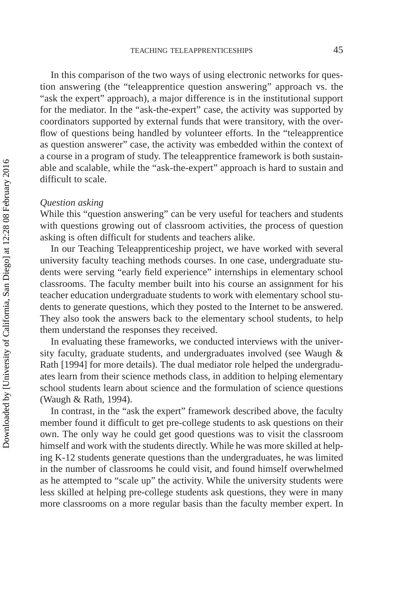In this comparison of the two ways of using electronic networks for question answering (the "teleapprentice question answering" approach vs. the "ask the expert" approach), a major difference is in the institutional support for the mediator. In the "ask-the-expert" case, the activity was supported by coordinators supported by external funds that were transitory, with the overflow of questions being handled by volunteer efforts. In the "teleapprentice as question answerer" case, the activity was embedded within the context of a course in a program of study. The teleapprentice framework is both sustainable and scalable, while the "ask-the-expert" approach is hard to sustain and difficult to scale.

#### *Question asking*

While this "question answering" can be very useful for teachers and students with questions growing out of classroom activities, the process of question asking is often difficult for students and teachers alike.

In our Teaching Teleapprenticeship project, we have worked with several university faculty teaching methods courses. In one case, undergraduate students were serving "early field experience" internships in elementary school classrooms. The faculty member built into his course an assignment for his teacher education undergraduate students to work with elementary school students to generate questions, which they posted to the Internet to be answered. They also took the answers back to the elementary school students, to help them understand the responses they received.

In evaluating these frameworks, we conducted interviews with the university faculty, graduate students, and undergraduates involved (see Waugh & Rath [1994] for more details). The dual mediator role helped the undergraduates learn from their science methods class, in addition to helping elementary school students learn about science and the formulation of science questions (Waugh & Rath, 1994).

In contrast, in the "ask the expert" framework described above, the faculty member found it difficult to get pre-college students to ask questions on their own. The only way he could get good questions was to visit the classroom himself and work with the students directly. While he was more skilled at helping K-12 students generate questions than the undergraduates, he was limited in the number of classrooms he could visit, and found himself overwhelmed as he attempted to "scale up" the activity. While the university students were less skilled at helping pre-college students ask questions, they were in many more classrooms on a more regular basis than the faculty member expert. In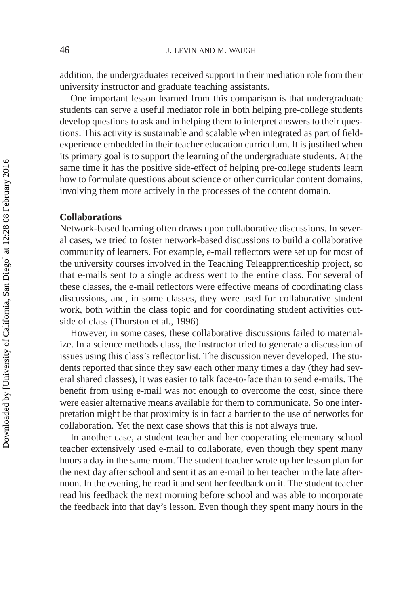addition, the undergraduates received support in their mediation role from their university instructor and graduate teaching assistants.

One important lesson learned from this comparison is that undergraduate students can serve a useful mediator role in both helping pre-college students develop questions to ask and in helping them to interpret answers to their questions. This activity is sustainable and scalable when integrated as part of fieldexperience embedded in their teacher education curriculum. It is justified when its primary goal is to support the learning of the undergraduate students. At the same time it has the positive side-effect of helping pre-college students learn how to formulate questions about science or other curricular content domains, involving them more actively in the processes of the content domain.

#### **Collaborations**

Network-based learning often draws upon collaborative discussions. In several cases, we tried to foster network-based discussions to build a collaborative community of learners. For example, e-mail reflectors were set up for most of the university courses involved in the Teaching Teleapprenticeship project, so that e-mails sent to a single address went to the entire class. For several of these classes, the e-mail reflectors were effective means of coordinating class discussions, and, in some classes, they were used for collaborative student work, both within the class topic and for coordinating student activities outside of class (Thurston et al., 1996).

However, in some cases, these collaborative discussions failed to materialize. In a science methods class, the instructor tried to generate a discussion of issues using this class's reflector list. The discussion never developed. The students reported that since they saw each other many times a day (they had several shared classes), it was easier to talk face-to-face than to send e-mails. The benefit from using e-mail was not enough to overcome the cost, since there were easier alternative means available for them to communicate. So one interpretation might be that proximity is in fact a barrier to the use of networks for collaboration. Yet the next case shows that this is not always true.

In another case, a student teacher and her cooperating elementary school teacher extensively used e-mail to collaborate, even though they spent many hours a day in the same room. The student teacher wrote up her lesson plan for the next day after school and sent it as an e-mail to her teacher in the late afternoon. In the evening, he read it and sent her feedback on it. The student teacher read his feedback the next morning before school and was able to incorporate the feedback into that day's lesson. Even though they spent many hours in the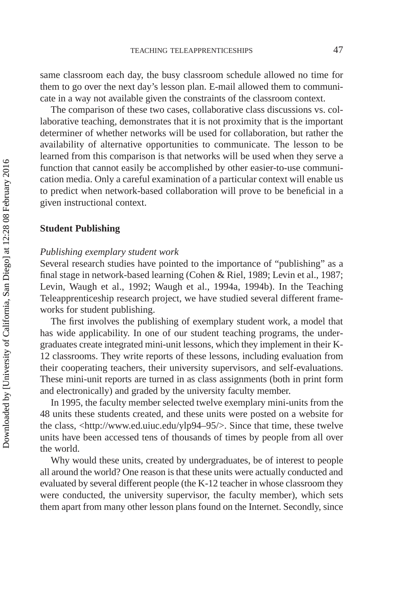same classroom each day, the busy classroom schedule allowed no time for them to go over the next day's lesson plan. E-mail allowed them to communicate in a way not available given the constraints of the classroom context.

The comparison of these two cases, collaborative class discussions vs. collaborative teaching, demonstrates that it is not proximity that is the important determiner of whether networks will be used for collaboration, but rather the availability of alternative opportunities to communicate. The lesson to be learned from this comparison is that networks will be used when they serve a function that cannot easily be accomplished by other easier-to-use communication media. Only a careful examination of a particular context will enable us to predict when network-based collaboration will prove to be beneficial in a given instructional context.

#### **Student Publishing**

## *Publishing exemplary student work*

Several research studies have pointed to the importance of "publishing" as a final stage in network-based learning (Cohen & Riel, 1989; Levin et al., 1987; Levin, Waugh et al., 1992; Waugh et al., 1994a, 1994b). In the Teaching Teleapprenticeship research project, we have studied several different frameworks for student publishing.

The first involves the publishing of exemplary student work, a model that has wide applicability. In one of our student teaching programs, the undergraduates create integrated mini-unit lessons, which they implement in their K-12 classrooms. They write reports of these lessons, including evaluation from their cooperating teachers, their university supervisors, and self-evaluations. These mini-unit reports are turned in as class assignments (both in print form and electronically) and graded by the university faculty member.

In 1995, the faculty member selected twelve exemplary mini-units from the 48 units these students created, and these units were posted on a website for the class, <http://www.ed.uiuc.edu/ylp94–95/>. Since that time, these twelve units have been accessed tens of thousands of times by people from all over the world.

Why would these units, created by undergraduates, be of interest to people all around the world? One reason is that these units were actually conducted and evaluated by several different people (the K-12 teacher in whose classroom they were conducted, the university supervisor, the faculty member), which sets them apart from many other lesson plans found on the Internet. Secondly, since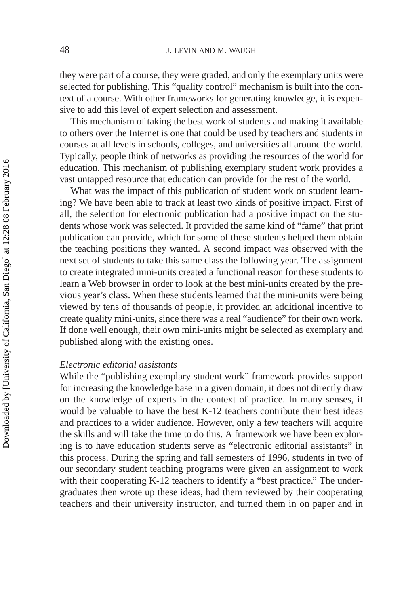they were part of a course, they were graded, and only the exemplary units were selected for publishing. This "quality control" mechanism is built into the context of a course. With other frameworks for generating knowledge, it is expensive to add this level of expert selection and assessment.

This mechanism of taking the best work of students and making it available to others over the Internet is one that could be used by teachers and students in courses at all levels in schools, colleges, and universities all around the world. Typically, people think of networks as providing the resources of the world for education. This mechanism of publishing exemplary student work provides a vast untapped resource that education can provide for the rest of the world.

What was the impact of this publication of student work on student learning? We have been able to track at least two kinds of positive impact. First of all, the selection for electronic publication had a positive impact on the students whose work was selected. It provided the same kind of "fame" that print publication can provide, which for some of these students helped them obtain the teaching positions they wanted. A second impact was observed with the next set of students to take this same class the following year. The assignment to create integrated mini-units created a functional reason for these students to learn a Web browser in order to look at the best mini-units created by the previous year's class. When these students learned that the mini-units were being viewed by tens of thousands of people, it provided an additional incentive to create quality mini-units, since there was a real "audience" for their own work. If done well enough, their own mini-units might be selected as exemplary and published along with the existing ones.

#### *Electronic editorial assistants*

While the "publishing exemplary student work" framework provides support for increasing the knowledge base in a given domain, it does not directly draw on the knowledge of experts in the context of practice. In many senses, it would be valuable to have the best K-12 teachers contribute their best ideas and practices to a wider audience. However, only a few teachers will acquire the skills and will take the time to do this. A framework we have been exploring is to have education students serve as "electronic editorial assistants" in this process. During the spring and fall semesters of 1996, students in two of our secondary student teaching programs were given an assignment to work with their cooperating K-12 teachers to identify a "best practice." The undergraduates then wrote up these ideas, had them reviewed by their cooperating teachers and their university instructor, and turned them in on paper and in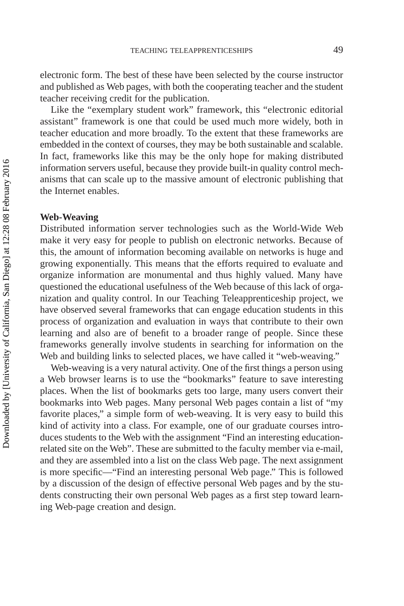electronic form. The best of these have been selected by the course instructor and published as Web pages, with both the cooperating teacher and the student teacher receiving credit for the publication.

Like the "exemplary student work" framework, this "electronic editorial assistant" framework is one that could be used much more widely, both in teacher education and more broadly. To the extent that these frameworks are embedded in the context of courses, they may be both sustainable and scalable. In fact, frameworks like this may be the only hope for making distributed information servers useful, because they provide built-in quality control mechanisms that can scale up to the massive amount of electronic publishing that the Internet enables.

#### **Web-Weaving**

Distributed information server technologies such as the World-Wide Web make it very easy for people to publish on electronic networks. Because of this, the amount of information becoming available on networks is huge and growing exponentially. This means that the efforts required to evaluate and organize information are monumental and thus highly valued. Many have questioned the educational usefulness of the Web because of this lack of organization and quality control. In our Teaching Teleapprenticeship project, we have observed several frameworks that can engage education students in this process of organization and evaluation in ways that contribute to their own learning and also are of benefit to a broader range of people. Since these frameworks generally involve students in searching for information on the Web and building links to selected places, we have called it "web-weaving."

Web-weaving is a very natural activity. One of the first things a person using a Web browser learns is to use the "bookmarks" feature to save interesting places. When the list of bookmarks gets too large, many users convert their bookmarks into Web pages. Many personal Web pages contain a list of "my favorite places," a simple form of web-weaving. It is very easy to build this kind of activity into a class. For example, one of our graduate courses introduces students to the Web with the assignment "Find an interesting educationrelated site on the Web". These are submitted to the faculty member via e-mail, and they are assembled into a list on the class Web page. The next assignment is more specific—"Find an interesting personal Web page." This is followed by a discussion of the design of effective personal Web pages and by the students constructing their own personal Web pages as a first step toward learning Web-page creation and design.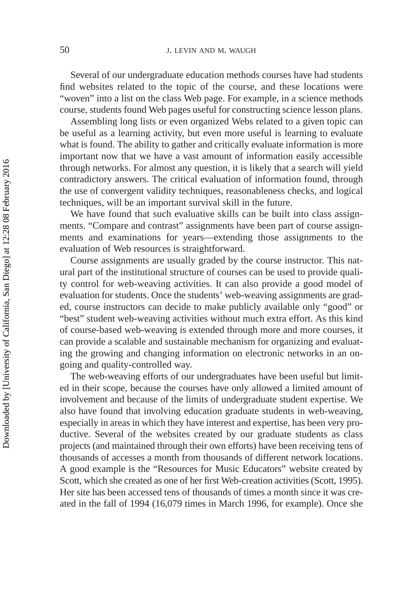Several of our undergraduate education methods courses have had students find websites related to the topic of the course, and these locations were "woven" into a list on the class Web page. For example, in a science methods course, students found Web pages useful for constructing science lesson plans.

Assembling long lists or even organized Webs related to a given topic can be useful as a learning activity, but even more useful is learning to evaluate what is found. The ability to gather and critically evaluate information is more important now that we have a vast amount of information easily accessible through networks. For almost any question, it is likely that a search will yield contradictory answers. The critical evaluation of information found, through the use of convergent validity techniques, reasonableness checks, and logical techniques, will be an important survival skill in the future.

We have found that such evaluative skills can be built into class assignments. "Compare and contrast" assignments have been part of course assignments and examinations for years—extending those assignments to the evaluation of Web resources is straightforward.

Course assignments are usually graded by the course instructor. This natural part of the institutional structure of courses can be used to provide quality control for web-weaving activities. It can also provide a good model of evaluation for students. Once the students' web-weaving assignments are graded, course instructors can decide to make publicly available only "good" or "best" student web-weaving activities without much extra effort. As this kind of course-based web-weaving is extended through more and more courses, it can provide a scalable and sustainable mechanism for organizing and evaluating the growing and changing information on electronic networks in an ongoing and quality-controlled way.

The web-weaving efforts of our undergraduates have been useful but limited in their scope, because the courses have only allowed a limited amount of involvement and because of the limits of undergraduate student expertise. We also have found that involving education graduate students in web-weaving, especially in areas in which they have interest and expertise, has been very productive. Several of the websites created by our graduate students as class projects (and maintained through their own efforts) have been receiving tens of thousands of accesses a month from thousands of different network locations. A good example is the "Resources for Music Educators" website created by Scott, which she created as one of her first Web-creation activities (Scott, 1995). Her site has been accessed tens of thousands of times a month since it was created in the fall of 1994 (16,079 times in March 1996, for example). Once she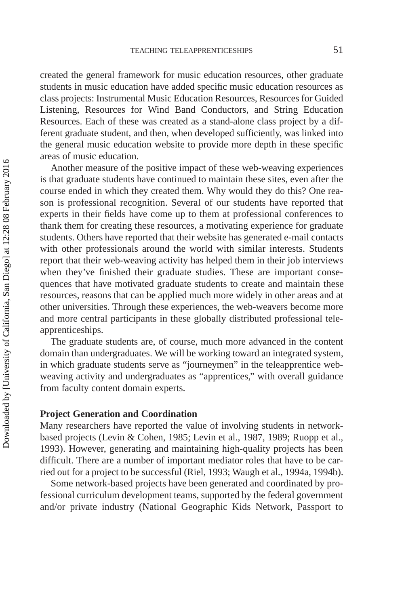created the general framework for music education resources, other graduate students in music education have added specific music education resources as class projects: Instrumental Music Education Resources, Resources for Guided Listening, Resources for Wind Band Conductors, and String Education Resources. Each of these was created as a stand-alone class project by a different graduate student, and then, when developed sufficiently, was linked into the general music education website to provide more depth in these specific areas of music education.

Another measure of the positive impact of these web-weaving experiences is that graduate students have continued to maintain these sites, even after the course ended in which they created them. Why would they do this? One reason is professional recognition. Several of our students have reported that experts in their fields have come up to them at professional conferences to thank them for creating these resources, a motivating experience for graduate students. Others have reported that their website has generated e-mail contacts with other professionals around the world with similar interests. Students report that their web-weaving activity has helped them in their job interviews when they've finished their graduate studies. These are important consequences that have motivated graduate students to create and maintain these resources, reasons that can be applied much more widely in other areas and at other universities. Through these experiences, the web-weavers become more and more central participants in these globally distributed professional teleapprenticeships.

The graduate students are, of course, much more advanced in the content domain than undergraduates. We will be working toward an integrated system, in which graduate students serve as "journeymen" in the teleapprentice webweaving activity and undergraduates as "apprentices," with overall guidance from faculty content domain experts.

#### **Project Generation and Coordination**

Many researchers have reported the value of involving students in networkbased projects (Levin & Cohen, 1985; Levin et al., 1987, 1989; Ruopp et al., 1993). However, generating and maintaining high-quality projects has been difficult. There are a number of important mediator roles that have to be carried out for a project to be successful (Riel, 1993; Waugh et al., 1994a, 1994b).

Some network-based projects have been generated and coordinated by professional curriculum development teams, supported by the federal government and/or private industry (National Geographic Kids Network, Passport to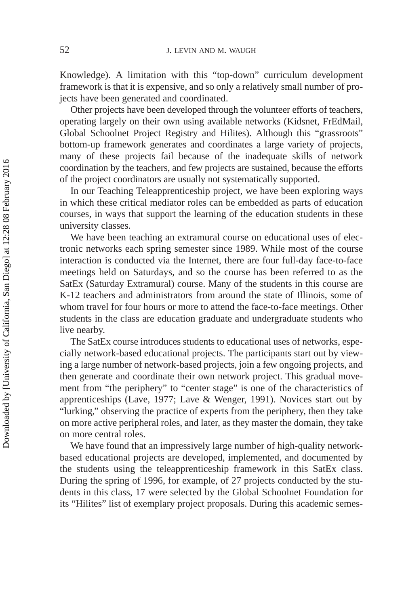Knowledge). A limitation with this "top-down" curriculum development framework is that it is expensive, and so only a relatively small number of projects have been generated and coordinated.

Other projects have been developed through the volunteer efforts of teachers, operating largely on their own using available networks (Kidsnet, FrEdMail, Global Schoolnet Project Registry and Hilites). Although this "grassroots" bottom-up framework generates and coordinates a large variety of projects, many of these projects fail because of the inadequate skills of network coordination by the teachers, and few projects are sustained, because the efforts of the project coordinators are usually not systematically supported.

In our Teaching Teleapprenticeship project, we have been exploring ways in which these critical mediator roles can be embedded as parts of education courses, in ways that support the learning of the education students in these university classes.

We have been teaching an extramural course on educational uses of electronic networks each spring semester since 1989. While most of the course interaction is conducted via the Internet, there are four full-day face-to-face meetings held on Saturdays, and so the course has been referred to as the SatEx (Saturday Extramural) course. Many of the students in this course are K-12 teachers and administrators from around the state of Illinois, some of whom travel for four hours or more to attend the face-to-face meetings. Other students in the class are education graduate and undergraduate students who live nearby.

The SatEx course introduces students to educational uses of networks, especially network-based educational projects. The participants start out by viewing a large number of network-based projects, join a few ongoing projects, and then generate and coordinate their own network project. This gradual movement from "the periphery" to "center stage" is one of the characteristics of apprenticeships (Lave, 1977; Lave & Wenger, 1991). Novices start out by "lurking," observing the practice of experts from the periphery, then they take on more active peripheral roles, and later, as they master the domain, they take on more central roles.

We have found that an impressively large number of high-quality networkbased educational projects are developed, implemented, and documented by the students using the teleapprenticeship framework in this SatEx class. During the spring of 1996, for example, of 27 projects conducted by the students in this class, 17 were selected by the Global Schoolnet Foundation for its "Hilites" list of exemplary project proposals. During this academic semes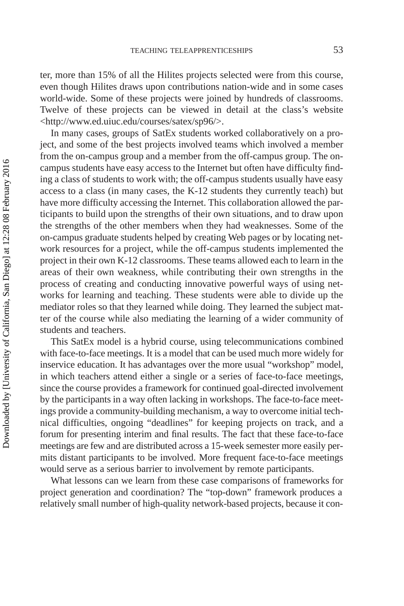ter, more than 15% of all the Hilites projects selected were from this course, even though Hilites draws upon contributions nation-wide and in some cases world-wide. Some of these projects were joined by hundreds of classrooms. Twelve of these projects can be viewed in detail at the class's website <http://www.ed.uiuc.edu/courses/satex/sp96/>.

In many cases, groups of SatEx students worked collaboratively on a project, and some of the best projects involved teams which involved a member from the on-campus group and a member from the off-campus group. The oncampus students have easy access to the Internet but often have difficulty finding a class of students to work with; the off-campus students usually have easy access to a class (in many cases, the K-12 students they currently teach) but have more difficulty accessing the Internet. This collaboration allowed the participants to build upon the strengths of their own situations, and to draw upon the strengths of the other members when they had weaknesses. Some of the on-campus graduate students helped by creating Web pages or by locating network resources for a project, while the off-campus students implemented the project in their own K-12 classrooms. These teams allowed each to learn in the areas of their own weakness, while contributing their own strengths in the process of creating and conducting innovative powerful ways of using networks for learning and teaching. These students were able to divide up the mediator roles so that they learned while doing. They learned the subject matter of the course while also mediating the learning of a wider community of students and teachers.

This SatEx model is a hybrid course, using telecommunications combined with face-to-face meetings. It is a model that can be used much more widely for inservice education. It has advantages over the more usual "workshop" model, in which teachers attend either a single or a series of face-to-face meetings, since the course provides a framework for continued goal-directed involvement by the participants in a way often lacking in workshops. The face-to-face meetings provide a community-building mechanism, a way to overcome initial technical difficulties, ongoing "deadlines" for keeping projects on track, and a forum for presenting interim and final results. The fact that these face-to-face meetings are few and are distributed across a 15-week semester more easily permits distant participants to be involved. More frequent face-to-face meetings would serve as a serious barrier to involvement by remote participants.

What lessons can we learn from these case comparisons of frameworks for project generation and coordination? The "top-down" framework produces a relatively small number of high-quality network-based projects, because it con-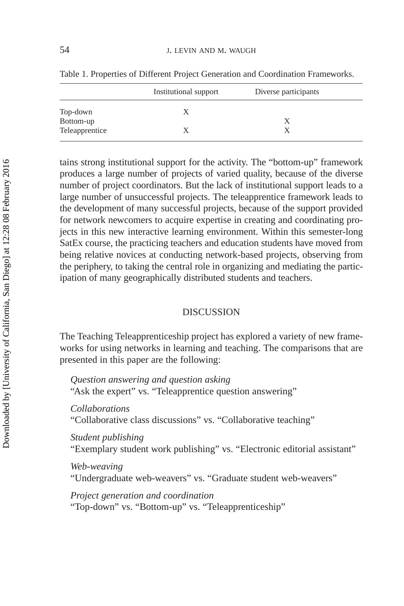|                | Institutional support | Diverse participants |  |
|----------------|-----------------------|----------------------|--|
| Top-down       |                       |                      |  |
| Bottom-up      |                       |                      |  |
| Teleapprentice |                       |                      |  |

Table 1. Properties of Different Project Generation and Coordination Frameworks.

tains strong institutional support for the activity. The "bottom-up" framework produces a large number of projects of varied quality, because of the diverse number of project coordinators. But the lack of institutional support leads to a large number of unsuccessful projects. The teleapprentice framework leads to the development of many successful projects, because of the support provided for network newcomers to acquire expertise in creating and coordinating projects in this new interactive learning environment. Within this semester-long SatEx course, the practicing teachers and education students have moved from being relative novices at conducting network-based projects, observing from the periphery, to taking the central role in organizing and mediating the participation of many geographically distributed students and teachers.

## DISCUSSION

The Teaching Teleapprenticeship project has explored a variety of new frameworks for using networks in learning and teaching. The comparisons that are presented in this paper are the following:

*Question answering and question asking* "Ask the expert" vs. "Teleapprentice question answering"

*Collaborations* "Collaborative class discussions" vs. "Collaborative teaching"

*Student publishing* "Exemplary student work publishing" vs. "Electronic editorial assistant"

*Web-weaving* "Undergraduate web-weavers" vs. "Graduate student web-weavers"

*Project generation and coordination* "Top-down" vs. "Bottom-up" vs. "Teleapprenticeship"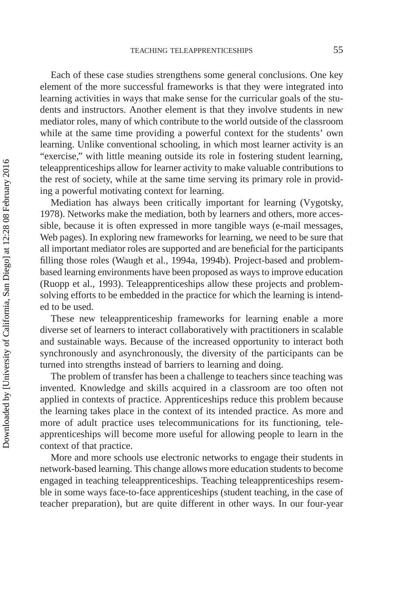Each of these case studies strengthens some general conclusions. One key element of the more successful frameworks is that they were integrated into learning activities in ways that make sense for the curricular goals of the students and instructors. Another element is that they involve students in new mediator roles, many of which contribute to the world outside of the classroom while at the same time providing a powerful context for the students' own learning. Unlike conventional schooling, in which most learner activity is an "exercise," with little meaning outside its role in fostering student learning, teleapprenticeships allow for learner activity to make valuable contributions to the rest of society, while at the same time serving its primary role in providing a powerful motivating context for learning.

Mediation has always been critically important for learning (Vygotsky, 1978). Networks make the mediation, both by learners and others, more accessible, because it is often expressed in more tangible ways (e-mail messages, Web pages). In exploring new frameworks for learning, we need to be sure that all important mediator roles are supported and are beneficial for the participants filling those roles (Waugh et al., 1994a, 1994b). Project-based and problembased learning environments have been proposed as ways to improve education (Ruopp et al., 1993). Teleapprenticeships allow these projects and problemsolving efforts to be embedded in the practice for which the learning is intended to be used.

These new teleapprenticeship frameworks for learning enable a more diverse set of learners to interact collaboratively with practitioners in scalable and sustainable ways. Because of the increased opportunity to interact both synchronously and asynchronously, the diversity of the participants can be turned into strengths instead of barriers to learning and doing.

The problem of transfer has been a challenge to teachers since teaching was invented. Knowledge and skills acquired in a classroom are too often not applied in contexts of practice. Apprenticeships reduce this problem because the learning takes place in the context of its intended practice. As more and more of adult practice uses telecommunications for its functioning, teleapprenticeships will become more useful for allowing people to learn in the context of that practice.

More and more schools use electronic networks to engage their students in network-based learning. This change allows more education students to become engaged in teaching teleapprenticeships. Teaching teleapprenticeships resemble in some ways face-to-face apprenticeships (student teaching, in the case of teacher preparation), but are quite different in other ways. In our four-year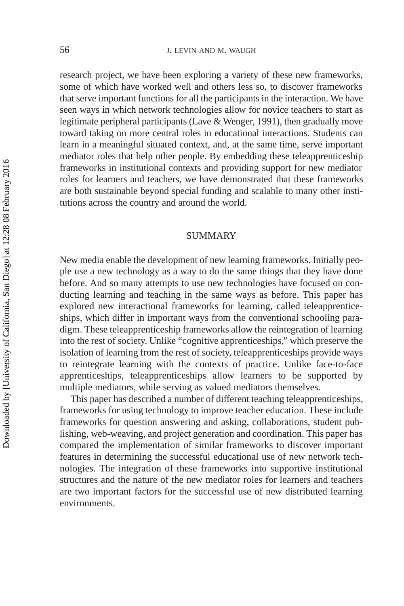research project, we have been exploring a variety of these new frameworks, some of which have worked well and others less so, to discover frameworks that serve important functions for all the participants in the interaction. We have seen ways in which network technologies allow for novice teachers to start as legitimate peripheral participants (Lave & Wenger, 1991), then gradually move toward taking on more central roles in educational interactions. Students can learn in a meaningful situated context, and, at the same time, serve important mediator roles that help other people. By embedding these teleapprenticeship frameworks in institutional contexts and providing support for new mediator roles for learners and teachers, we have demonstrated that these frameworks are both sustainable beyond special funding and scalable to many other institutions across the country and around the world.

#### SUMMARY

New media enable the development of new learning frameworks. Initially people use a new technology as a way to do the same things that they have done before. And so many attempts to use new technologies have focused on conducting learning and teaching in the same ways as before. This paper has explored new interactional frameworks for learning, called teleapprenticeships, which differ in important ways from the conventional schooling paradigm. These teleapprenticeship frameworks allow the reintegration of learning into the rest of society. Unlike "cognitive apprenticeships," which preserve the isolation of learning from the rest of society, teleapprenticeships provide ways to reintegrate learning with the contexts of practice. Unlike face-to-face apprenticeships, teleapprenticeships allow learners to be supported by multiple mediators, while serving as valued mediators themselves.

This paper has described a number of different teaching teleapprenticeships, frameworks for using technology to improve teacher education. These include frameworks for question answering and asking, collaborations, student publishing, web-weaving, and project generation and coordination. This paper has compared the implementation of similar frameworks to discover important features in determining the successful educational use of new network technologies. The integration of these frameworks into supportive institutional structures and the nature of the new mediator roles for learners and teachers are two important factors for the successful use of new distributed learning environments.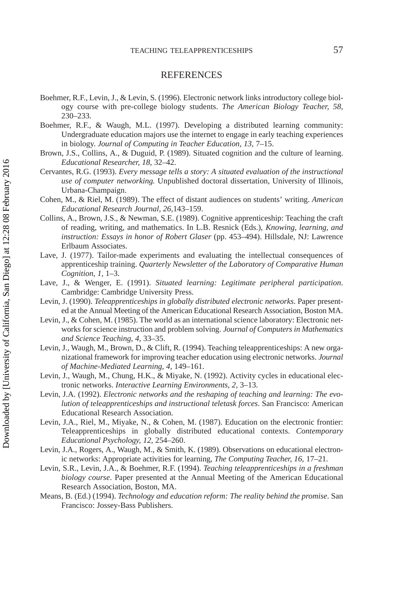#### REFERENCES

- Boehmer, R.F., Levin, J., & Levin, S. (1996). Electronic network links introductory college biology course with pre-college biology students. *The American Biology Teacher, 58,* 230–233.
- Boehmer, R.F., & Waugh, M.L. (1997). Developing a distributed learning community: Undergraduate education majors use the internet to engage in early teaching experiences in biology. *Journal of Computing in Teacher Education, 13,* 7–15.
- Brown, J.S., Collins, A., & Duguid, P. (1989). Situated cognition and the culture of learning. *Educational Researcher, 18,* 32–42.
- Cervantes, R.G. (1993). *Every message tells a story: A situated evaluation of the instructional use of computer networking.* Unpublished doctoral dissertation, University of Illinois, Urbana-Champaign.
- Cohen, M., & Riel, M. (1989). The effect of distant audiences on students' writing. *American Educational Research Journal, 26,*143–159.
- Collins, A., Brown, J.S., & Newman, S.E. (1989). Cognitive apprenticeship: Teaching the craft of reading, writing, and mathematics. In L.B. Resnick (Eds.), *Knowing, learning, and instruction: Essays in honor of Robert Glaser* (pp. 453–494). Hillsdale, NJ: Lawrence Erlbaum Associates.
- Lave, J. (1977). Tailor-made experiments and evaluating the intellectual consequences of apprenticeship training. *Quarterly Newsletter of the Laboratory of Comparative Human Cognition, 1,* 1–3.
- Lave, J., & Wenger, E. (1991). *Situated learning: Legitimate peripheral participation*. Cambridge: Cambridge University Press.
- Levin, J. (1990). *Teleapprenticeships in globally distributed electronic networks*. Paper presented at the Annual Meeting of the American Educational Research Association, Boston MA.
- Levin, J., & Cohen, M. (1985). The world as an international science laboratory: Electronic networks for science instruction and problem solving. *Journal of Computers in Mathematics and Science Teaching, 4,* 33–35.
- Levin, J., Waugh, M., Brown, D., & Clift, R. (1994). Teaching teleapprenticeships: A new organizational framework for improving teacher education using electronic networks. *Journal of Machine-Mediated Learning, 4,* 149–161.
- Levin, J., Waugh, M., Chung, H.K., & Miyake, N. (1992). Activity cycles in educational electronic networks. *Interactive Learning Environments, 2,* 3–13.
- Levin, J.A. (1992). *Electronic networks and the reshaping of teaching and learning: The evolution of teleapprenticeships and instructional teletask forces*. San Francisco: American Educational Research Association.
- Levin, J.A., Riel, M., Miyake, N., & Cohen, M. (1987). Education on the electronic frontier: Teleapprenticeships in globally distributed educational contexts. *Contemporary Educational Psychology, 12,* 254–260.
- Levin, J.A., Rogers, A., Waugh, M., & Smith, K. (1989). Observations on educational electronic networks: Appropriate activities for learning, *The Computing Teacher, 16,* 17–21.
- Levin, S.R., Levin, J.A., & Boehmer, R.F. (1994). *Teaching teleapprenticeships in a freshman biology course*. Paper presented at the Annual Meeting of the American Educational Research Association, Boston, MA.
- Means, B. (Ed.) (1994). *Technology and education reform: The reality behind the promise*. San Francisco: Jossey-Bass Publishers.